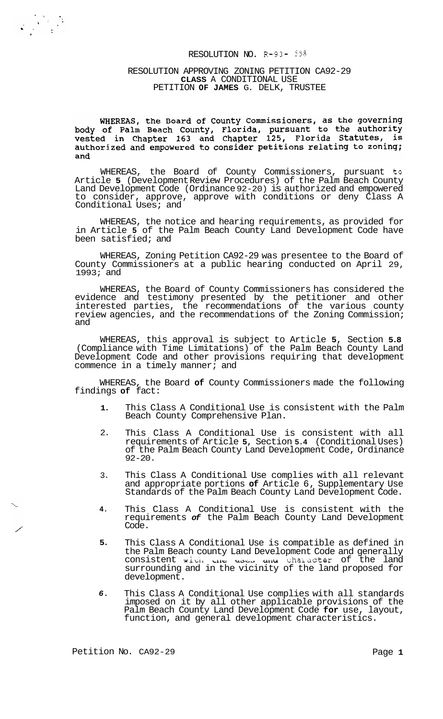# RESOLUTION NO. R-93- 558

#### RESOLUTION APPROVING ZONING PETITION CA92-29 **CLASS** A CONDITIONAL USE PETITION **OF JAMES** G. DELK, TRUSTEE

WHEREAS, the Board of County Commissioners, as the governing<br>body of Palm Beach County, Florida, pursuant to the authority<br>vested in Chapter 163 and Chapter 125, Florida Statutes, is authorized and empowered to consider petitions relating to zoning; and

WHEREAS, the Board of County Commissioners, pursuant to Article **5** (Development Review Procedures) of the Palm Beach County Land Development Code (Ordinance 92-20) is authorized and empowered to consider, approve, approve with conditions or deny Class A Conditional Uses; and

WHEREAS, the notice and hearing requirements, as provided for in Article **5** of the Palm Beach County Land Development Code have been satisfied; and

WHEREAS, Zoning Petition CA92-29 was presentee to the Board of County Commissioners at a public hearing conducted on April 29, 1993; and

WHEREAS, the Board of County Commissioners has considered the evidence and testimony presented by the petitioner and other interested parties, the recommendations of the various county review agencies, and the recommendations of the Zoning Commission; and

WHEREAS, this approval is subject to Article **5,** Section **5.8**  (Compliance with Time Limitations) of the Palm Beach County Land Development Code and other provisions requiring that development commence in a timely manner; and

WHEREAS, the Board **of** County Commissioners made the following findings **of** fact:

- **1.**  This Class A Conditional Use is consistent with the Palm Beach County Comprehensive Plan.
- 2. This Class A Conditional Use is consistent with all requirements of Article **5,** Section **5.4** (Conditional Uses) of the Palm Beach County Land Development Code, Ordinance  $92 - 20$ .
- 3. This Class A Conditional Use complies with all relevant and appropriate portions **of** Article 6, Supplementary Use Standards of the Palm Beach County Land Development Code.
- **4.**  This Class A Conditional Use is consistent with the requirements *of* the Palm Beach County Land Development Code.
- **5.**  This Class A Conditional Use is compatible as defined in the Palm Beach county Land Development Code and generally consistent **wiuL Lllr; ueljJ uIi~** Lhaiacter of the land surrounding and in the vicinity of the land proposed for development.
- *6.*  This Class A Conditional Use complies with all standards imposed on it by all other applicable provisions of the Palm Beach County Land Development Code **for** use, layout, function, and general development characteristics.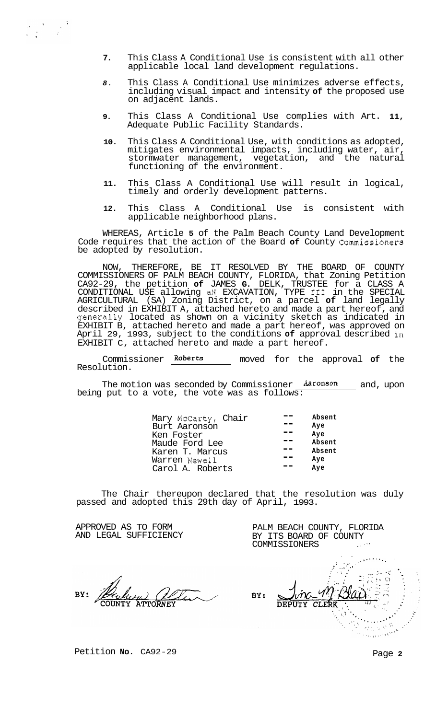- **7.** This Class A Conditional Use is consistent with all other applicable local land development regulations.
- *8.* This Class A Conditional Use minimizes adverse effects, including visual impact and intensity **of** the proposed use on adjacent lands.
- **9.** This Class A Conditional Use complies with Art. **11,**  Adequate Public Facility Standards.
- **10.** This Class A Conditional Use, with conditions as adopted, mitigates environmental impacts, including water, air, stormwater management, vegetation, and the natural functioning of the environment.
- **11.** This Class A Conditional Use will result in logical, timely and orderly development patterns.
- **12.** This Class A Conditional Use is consistent with applicable neighborhood plans.

WHEREAS, Article **5** of the Palm Beach County Land Development Code requires that the action of the Board **of** County Commissioners be adopted by resolution.

NOW, THEREFORE, BE IT RESOLVED BY THE BOARD OF COUNTY COMMISSIONERS OF PALM BEACH COUNTY, FLORIDA, that Zoning Petition CA92-29, the petition **of** JAMES **G.** DELK, TRUSTEE for a CLASS A CONDITIONAL USE allowing aN EXCAVATION, TYPE I11 in the SPECIAL AGRICULTURAL (SA) Zoning District, on a parcel **of** land legally described in EXHIBIT A, attached hereto and made a part hereof, and generally located as shown on a vicinity sketch as indicated in EXHIBIT B, attached hereto and made a part hereof, was approved on April 29, 1993, subject to the conditions **of** approval described in EXHIBIT C, attached hereto and made a part hereof.

Commissioner **Roberts** moved for the approval **of** the Resolution.

The motion was seconded by Commissioner **Aarunson** and, upon being put to a vote, the vote was as follows:

| Mary McCarty, Chair | Absent |
|---------------------|--------|
| Burt Aaronson       | Aye    |
| Ken Foster          | Ave    |
| Maude Ford Lee      | Absent |
| Karen T. Marcus     | Absent |
| Warren Newell       | Aye    |
| Carol A. Roberts    | Ave    |
|                     |        |

The Chair thereupon declared that the resolution was duly passed and adopted this 29th day of April, 1993.

APPROVED AS TO FORM AND LEGAL SUFFICIENCY

 $\label{eq:2} \begin{split} \mathcal{L}_{\text{max}} & = \frac{1}{2} \sum_{i=1}^{N} \frac{1}{2} \sum_{i=1}^{N} \frac{1}{2} \left( \frac{1}{2} \sum_{i=1}^{N} \frac{1}{2} \right) \left( \frac{1}{2} \sum_{i=1}^{N} \frac{1}{2} \right) \left( \frac{1}{2} \sum_{i=1}^{N} \frac{1}{2} \right) \left( \frac{1}{2} \sum_{i=1}^{N} \frac{1}{2} \right) \left( \frac{1}{2} \sum_{i=1}^{N} \frac{1}{2} \right) \left( \$ 

COMMISSIONERS .<br>بار المعتقد المعارض الأمريكي  $\mathcal{L}^{\text{max}}$ . .\ *<sup>8</sup>* BY: CLERK

٠,

PALM BEACH COUNTY, FLORIDA BY ITS BOARD OF COUNTY

Petition **No.** CA92-29 Page 2

 $\epsilon$ 

 $\langle \gamma_1 \rangle_{\rm c} \sim 0$ and a series of the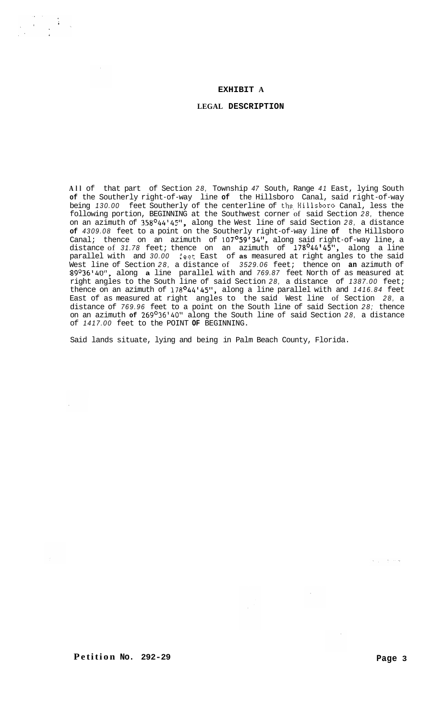#### **EXHIBIT A**

#### **LEGAL DESCRIPTION**

**All** of that part of Section *28,* Township *47* South, Range *41* East, lying South **of** the Southerly right-of-way line **of** the Hillsboro Canal, said right-of-way being 130.00 feet Southerly of the centerline of the Hillsboro Canal, less the following portion, BEGINNING at the Southwest corner of said Section *28,* thence on an azimuth of *358°44'45",* along the West line of said Section *28,* a distance **of** *4309.08* feet to a point on the Southerly right-of-way line **of** the Hillsboro Canal; thence on an azimuth of *107°59'34",* along said right-of-way line, a distance of *31.78* feet; thence on an azimuth of *178°44'45",* along a line parallel with and *30.00* 5eet East of **as** measured at right angles to the said West line of Section *28,* a distance of *3529.06* feet; thence on **an** azimuth of *89O36'40",* along **a** line parallel with and *769.87* feet North of as measured at right angles to the South line of said Section *28,* a distance of *1387.00* feet; thence on an azimuth of *178O44'45",* along a line parallel with and *1416.84* feet East of as measured at right angles to the said West line of Section *28,* a distance of *769.96* feet to a point on the South line of said Section *28;* thence on an azimuth **of** *269°36'40"* along the South line of said Section *28,* a distance of *1417.00* feet to the POINT **OF** BEGINNING.

Said lands situate, lying and being in Palm Beach County, Florida.

ل<br>مار المراجع الي ال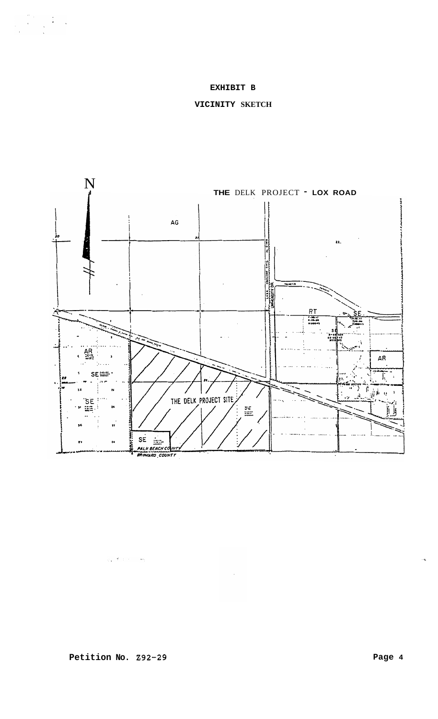## **EXHIBIT B**

## **VICINITY SKETCH**

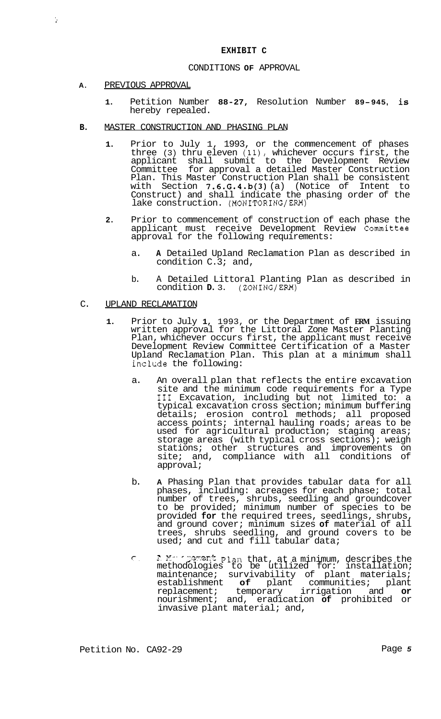### **EXHIBIT C**

#### CONDITIONS **OF** APPROVAL

**A.** PREVIOUS APPROVAL

 $\ddot{\phantom{a}}$ 

- **1.** Petition Number **88-27,** Resolution Number **89-945,** is hereby repealed.
- **B.** MASTER CONSTRUCTION AND PHASING PLAN
	- **1.** Prior to July 1, 1993, or the commencement of phases three (3) thru eleven (ll), whichever occurs first, the applicant shall submit to the Development Review Committee for approval a detailed Master Construction Plan. This Master Construction Plan shall be consistent with Section **7.6.G.4.b(3)** (a) (Notice of Intent to Construct) and shall indicate the phasing order of the lake construction. (MONITORING/ERM)
	- **2.** Prior to commencement of construction of each phase the applicant must receive Development Review Committee approval for the following requirements:
		- a. **A** Detailed Upland Reclamation Plan as described in condition C.3; and,
		- b. A Detailed Littoral Planting Plan as described in condition **D.** 3. (ZONING/ERM)

### C. UPLAND RECLAMATION

- **1.** Prior to July **1,** 1993, or the Department of **ERM** issuing written approval for the Littoral Zone Master Planting Plan, whichever occurs first, the applicant must receive Development Review Committee Certification of a Master Upland Reclamation Plan. This plan at a minimum shall include the following:
	- a. An overall plan that reflects the entire excavation site and the minimum code requirements for a Type III Excavation, including but not limited to: a typical excavation cross section; minimum buffering details; erosion control methods; all proposed access points; internal hauling roads; areas to be used for agricultural production; staging areas; storage areas (with typical cross sections); weigh stations; other structures and improvements on site; and, compliance with all conditions of approval;
	- b. **A** Phasing Plan that provides tabular data for all phases, including: acreages for each phase; total number of trees, shrubs, seedling and groundcover to be provided; minimum number of species to be provided **for** the required trees, seedlings, shrubs, and ground cover; minimum sizes **of** material of all trees, shrubs seedling, and ground covers to be used; and cut and fill tabular data;
	- *c* **<sup>7</sup>***2c* .' ' -':%-? **p.p.t**  methodologies to be utilized for: installation; maintenance; survivability of plant materials; establishment **of** plant communities; plant replacement; temporary irrigation and **or**  nourishment; and, eradication **of** prohibited or invasive plant material; and, ". *LI* **L** *<sup>w</sup>*plm that, at a minimum, describes the

Petition No. CA92-29 **Page 5**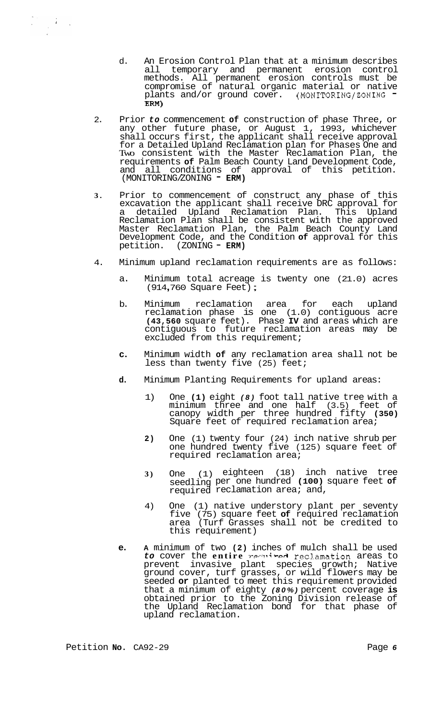- d. An Erosion Control Plan that at a minimum describes all temporary and permanent erosion control methods. All permanent erosion controls must be compromise of natural organic material or native plants and/or ground cover. (MONITORING/ZONING - **Em)**
- 2. Prior *to* commencement **of** construction of phase Three, or any other future phase, or August 1, 1993, whichever shall occurs first, the applicant shall receive approval for a Detailed Upland Reclamation plan for Phases One and Two consistent with the Master Reclamation Plan, the requirements **of** Palm Beach County Land Development Code, and all conditions of approval of this petition. (MONITORING/ZONING <sup>-</sup> ERM)
- **3.** Prior to commencement of construct any phase of this excavation the applicant shall receive DRC approval for a detailed Upland Reclamation Plan. This Upland Reclamation Plan shall be consistent with the approved Master Reclamation Plan, the Palm Beach County Land Development Code, and the Condition **of** approval for this petition. (ZONING - **ERM)**
- 4. Minimum upland reclamation requirements are as follows:
	- a. Minimum total acreage is twenty one (21.0) acres<br>(914,760 Square Feet);
	- b. Minimum reclamation area for each upland reclamation phase is one (1.0) contiguous acre **(43,560** square feet). Phase **IV** and areas which are contiguous to future reclamation areas may be excluded from this requirement;
	- **c.** Minimum width **of** any reclamation area shall not be less than twenty five (25) feet;
	- **d.** Minimum Planting Requirements for upland areas:
		- 1) One **(1)** eight *(8)* foot tall native tree with a minimum three and one half (3.5) feet of canopy width per three hundred fifty **(350)**  Square feet of required reclamation area;
		- **2)** One (1) twenty four (24) inch native shrub per one hundred twenty five (125) square feet of required reclamation area;
		- **3)** One (1) eighteen (18) inch native tree seedling per one hundred **(100)** square feet **of**  required reclamation area; and,
		- 4) One (1) native understory plant per seventy five (75) square feet **of** required reclamation area (Turf Grasses shall not be credited to this requirement)
	- **e. A** minimum of two **(2)** inches of mulch shall be used to cover the entire *remained* reclamation areas to prevent invasive plant species growth; Native ground cover, turf grasses, or wild flowers may be seeded **or** planted to meet this requirement provided that a minimum of eighty *(80%)* percent coverage **is**  obtained prior to the Zoning Division release of the Upland Reclamation bond for that phase of upland reclamation.

 $\label{eq:2.1} \begin{array}{l} \mathcal{P}_{\mathcal{F}}(\mathcal{E}) = \frac{1}{2} \mathcal{E}(\mathcal{E}) \mathcal{E}(\mathcal{E}) \end{array}$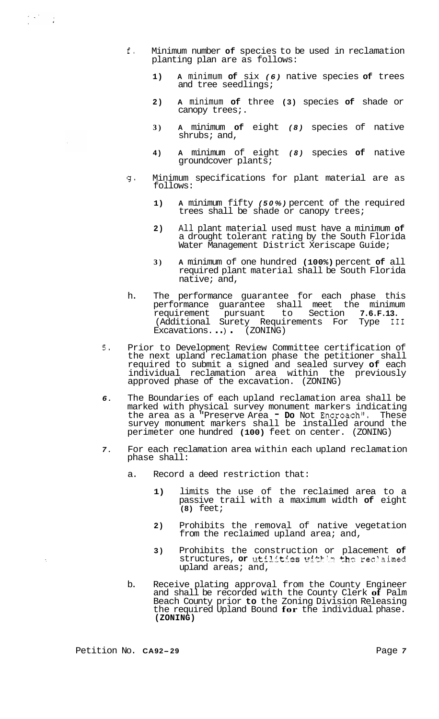- f. Minimum number **of** species to be used in reclamation planting plan are as follows:
	- **1) A** minimum **of** six *(6)* native species **of** trees and tree seedlings;
	- **2) A** minimum **of** three **(3)** species **of** shade or canopy trees;.
	- **3) A** minimum **of** eight *(8)* species of native shrubs; and,
	- **4) A** minimum of eight *(8)* species **of** native groundcover plants;
- **g.** Minimum specifications for plant material are as follows:
	- **1) A** minimum fifty *(50%)* percent of the required trees shall be shade or canopy trees;
	- **2)** All plant material used must have a minimum **of**  a drought tolerant rating by the South Florida Water Management District Xeriscape Guide;
	- **3) A** minimum of one hundred **(100%)** percent **of** all required plant material shall be South Florida native; and,
- h. The performance guarantee for each phase this performance guarantee shall meet the minimum requirement pursuant to Section **7.6.F.13.**  (Additional Surety Requirements For Type **I11**  Excavations. ..) (ZONING)
- **5.** Prior to Development Review Committee certification of the next upland reclamation phase the petitioner shall required to submit a signed and sealed survey **of** each individual reclamation area within the previously approved phase of the excavation. (ZONING)
- *6.* The Boundaries of each upland reclamation area shall be marked with physical survey monument markers indicating the area as a "Preserve Area - **Do** Not Encroach". These survey monument markers shall be installed around the perimeter one hundred **(100)** feet on center. (ZONING)
- *7.* For each reclamation area within each upland reclamation phase shall:
	- a. Record a deed restriction that:
		- **1)** limits the use of the reclaimed area to a passive trail with a maximum width **of** eight **(8)** feet;
		- **2)** Prohibits the removal of native vegetation from the reclaimed upland area; and,
		- **3)** Prohibits the construction or placement of structures, or utilities within the reclaimed upland areas; and,
	- b. Receive plating approval from the County Engineer and shall be recorded with the County Clerk **of** Palm Beach County prior **to** the Zoning Division Releasing the required Upland Bound **for** the individual phase. **(ZONING)**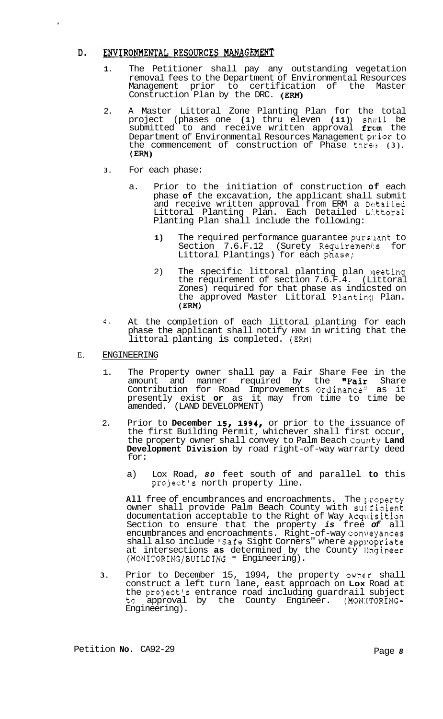#### ENVIRONMENTAL RESOURCES MANAGEMENT D.

,

- **1.** The Petitioner shall pay any outstanding vegetation removal fees to the Department of Environmental Resources Management prior to certification of the Master Construction Plan by the DRC. (EM)
- 2. A Master Littoral Zone Planting Plan for the total project (phases one **(1)** thru eleven **(11)** ) shzlll be submitted to and receive written approval from the Department of Environmental Resources Management prior to the commencement of construction of Phase threls **(3).**   $(ERM)$
- **3.** For each phase:
	- a. Prior to the initiation of construction **of** each phase **of** the excavation, the applicant shall submit and receive written approval from ERM a Detailed Littoral Planting Plan. Each Detailed Li.ttora1 Planting Plan shall include the following:
		- 1) The required performance guarantee pursuant to Section 7.6.F.12 (Surety Requirements for Littoral Plantings) for each phase;
		- 2) The specific littoral planting plan meeting the requirement of section 7.6.F.4. (Littoral Zones) required for that phase as indicsted on the approved Master Littoral Planting Plan. (Ern)
- **4.** At the completion of each littoral planting for each phase the applicant shall notify ERM in writing that the littoral planting is completed. (EM)
- E. ENGINEERING
	- 1. The Property owner shall pay a Fair Share Fee in the amount and manner required by the "Fair Share Contribution for Road Improvements Ordinance" as it presently exist **or** as it may from time to time be amended. (LAND DEVELOPMENT)
	- 2. Prior to **December 15, 1994,** or prior to the issuance of the first Building Permit, whichever shall first occur, the property owner shall convey to Palm Beach County Land **Development Division** by road right-of-way warrarty deed for:
		- a) Lox Road, *80* feet south of and parallel **to** this projectls north property line.

All free of encumbrances and encroachments. The property owner shall provide Palm Beach County with sul'ficient documentation acceptable to the Right of Way Acqllisition Section to ensure that the property *is* free *of* all encumbrances and encroachments. Right-of-way conveyances shall also include "Safe Sight Corners" where app:opriate at intersections **as** determined by the County Engineer<br>(MONITORING/BUILDING - Engineering).

**3.** Prior to December 15, 1994, the property owner shall construct a left turn lane, east approach on **Lox** Road at the project's entrance road including guardrail subject to approval by the County Engineer. (MON:TORING-Engineering).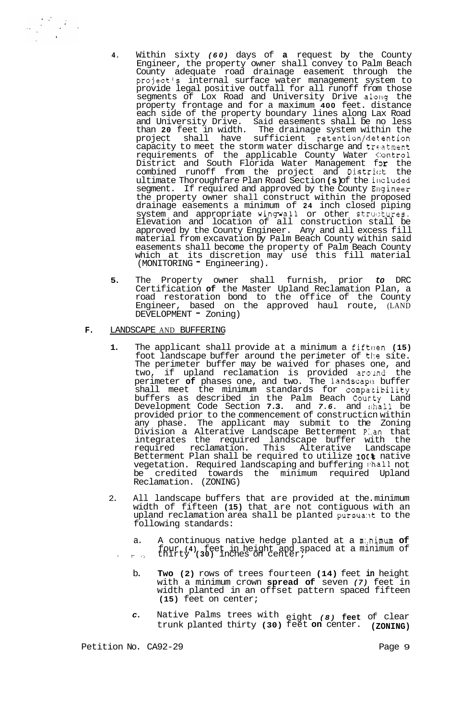- **4.** Within sixty *(60)* days of **a** request by the County Engineer, the property owner shall convey to Palm Beach County adequate road drainage easement through the project's internal surface water management system to provide legal positive outfall for all runoff from those segments of Lox Road and University Drive along the property frontage and for a maximum **400** feet. distance each side of the property boundary lines along Lax Road and University Drive. Said easements shall be no less than **20** feet in width. The drainage system within the have sufficient retention/detention capacity to meet the storm water discharge and treatment requirements of the applicable County Water ('ontrol<br>District and South Florida Water Management f**or** the combined runoff from the project and District the ultimate Thoroughfare Plan Road Section **(s)** of the included segment. If required and approved by the County Engineer the property owner shall construct within the proposed drainage easements a minimum of **24** inch closed piping system and appropriate wingwall or other structures. Elevation and location of all construction stall be approved by the County Engineer. Any and all excess fill material from excavation by Palm Beach County within said easements shall become the property of Palm Beach County which at its discretion may use this fill material (MONITORING - Engineering).
- **5.** The Property owner shall furnish, prior *to* DRC Certification **of** the Master Upland Reclamation Plan, a road restoration bond to the office of the County Engineer, based on the approved haul route, (LAND DEVELOPMENT - Zoning)

### **F.** LANDSCAPE AND BUFFERING

- 1. The applicant shall provide at a minimum a fifteen (15) foot landscape buffer around the perimeter of the site. The perimeter buffer may be waived for phases one, and two, if upland reclamation is provided around the perimeter **of** phases one, and two. The landscape buffer shall meet the minimum standards for compatibility buffers as described in the Palm Beach Courty Land Development Code Section **7.3.** and *7.6.* and sihall be provided prior to the commencement of constructicn within any phase. The applicant may submit to the Zoning Division a Alterative Landscape Betterment P:.an that integrates the required landscape buffer with the required reclamation. This Alterative Landscape Betterment Plan shall be required to utilize 10G<sup>§</sup> native vegetation. Required landscaping and buffering shall not be credited towards the minimum required Upland Reclamation. (ZONING)
- 2. All landscape buffers that are provided at the. minimum width of fifteen **(15)** that are not contiguous with an upland reclamation area shall be planted pursuant to the following standards:
	- a. A continuous native hedge planted at a m:.nimum **of**  four **(4)** feet in height and spaced at a minimum of *<sup>1</sup>*:, *"j* thirty **(30)** inches on center;
		- b. **Two (2)** rows of trees fourteen **(14)** feet **in** height with a minimum crown **spread of** seven *(7)* feet in width planted in an offset pattern spaced fifteen **(15)** feet on center;
		- *c.* Native Palms trees with eight *(8)* **feet** of clear trunk planted thirty **(30)** feet **on** center. **(ZONING)**

Petition No. CA92-29 Page 9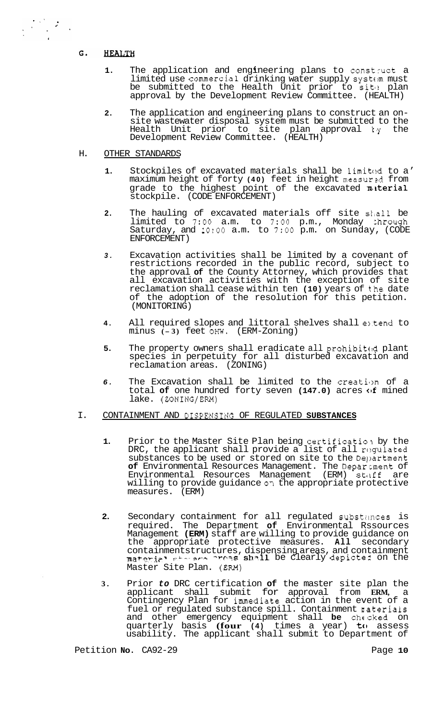#### G. **HEALTH**

- 1. The application and engineering plans to construct a limited use commercial drinking water supply system must be submitted to the Health Unit prior to site plan approval by the Development Review Committee. (HEALTH)
- **2.** The application and engineering plans to construct an on- site wastewater disposal system must be submitted to the Health Unit prior to site plan approval  $\forall y$  the Development Review Committee. (HEALTH)

## H. OTHER STANDARDS

- 1. Stockpiles of excavated materials shall be limited to a' maximum height of forty **(40)** feet in height measur ?d from grade to the highest point of the excavated **material** stockpile. (CODE ENFORCEMENT)
- **2.** The hauling of excavated materials off site sf,all be limited to **7:OO** a.m. to *7:OO* p.m., Monday chrough Saturday, and **1O:OO** a.m. to *7:OO* p.m. on Sunday, (CODE ENFORCEMENT)
- *3.* Excavation activities shall be limited by a covenant of restrictions recorded in the public record, subject to the approval **of** the County Attorney, which provides that all excavation activities with the exception of site reclamation shall cease within ten **(10)** years of the date of the adoption of the resolution for this petition. (MONITORING)
- **4.** All required slopes and littoral shelves shall extend to minus **(- 3)** feet OHW. (ERM-Zoning)
- **5.** The property owners shall eradicate all prohibited plant species in perpetuity for all disturbed excavation and reclamation areas. (ZONING)
- **6.** The Excavation shall be limited to the creation of a total **of** one hundred forty seven **(147.0)** acres of mined lake. (ZONING/ERM)

## I. CONTAINMENT AND DISPENSING OF REGULATED SUBSTANCES

- **1.** Prior to the Master Site Plan being certification by the DRC, the applicant shall provide a list of all regulated substances to be used or stored on site to the Department **of** Environmental Resources Management. The Deparcment of Environmental Resources Management (ERM) staff are willing to provide guidance **07** the appropriate protective measures. (ERM)
- **2.** Secondary containment for all regulated substances is required. The Department **of** Environmental Rssources Management **(ERM)** staff are willing to provide guidance on the appropriate protective measures. **All** secondary containmentstructures, dispensing areas, and containment<br>material structures shall be clearly depicted on the Master Site Plan. (EM)
- **3.** Prior *to* DRC certification **of** the master site plan the applicant shall submit for approval from **ERM,** a Contingency Plan for immediate action in the event of a fuel or regulated substance spill. Containment naterials and other emergency equipment shall **be** checked on quarterly basis **(four (4)** times a year) **to** assess usability. The applicant shall submit to Department of

Petition **No.** CA92-29 Page 10